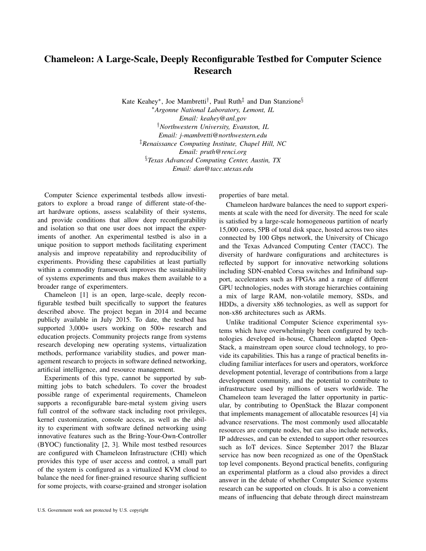## Chameleon: A Large-Scale, Deeply Reconfigurable Testbed for Computer Science Research

Kate Keahey<sup>∗</sup> , Joe Mambretti† , Paul Ruth‡ and Dan Stanzione§ <sup>∗</sup>*Argonne National Laboratory, Lemont, IL Email: keahey@anl.gov* †*Northwestern University, Evanston, IL Email: j-mambretti@northwestern.edu* ‡*Renaissance Computing Institute, Chapel Hill, NC Email: pruth@renci.org* §*Texas Advanced Computing Center, Austin, TX Email: dan@tacc.utexas.edu*

Computer Science experimental testbeds allow investigators to explore a broad range of different state-of-theart hardware options, assess scalability of their systems, and provide conditions that allow deep reconfigurability and isolation so that one user does not impact the experiments of another. An experimental testbed is also in a unique position to support methods facilitating experiment analysis and improve repeatability and reproducibility of experiments. Providing these capabilities at least partially within a commodity framework improves the sustainability of systems experiments and thus makes them available to a broader range of experimenters.

Chameleon [1] is an open, large-scale, deeply reconfigurable testbed built specifically to support the features described above. The project began in 2014 and became publicly available in July 2015. To date, the testbed has supported 3,000+ users working on 500+ research and education projects. Community projects range from systems research developing new operating systems, virtualization methods, performance variability studies, and power management research to projects in software defined networking, artificial intelligence, and resource management.

Experiments of this type, cannot be supported by submitting jobs to batch schedulers. To cover the broadest possible range of experimental requirements, Chameleon supports a reconfigurable bare-metal system giving users full control of the software stack including root privileges, kernel customization, console access, as well as the ability to experiment with software defined networking using innovative features such as the Bring-Your-Own-Controller (BYOC) functionality [2, 3]. While most testbed resources are configured with Chameleon Infrastructure (CHI) which provides this type of user access and control, a small part of the system is configured as a virtualized KVM cloud to balance the need for finer-grained resource sharing sufficient for some projects, with coarse-grained and stronger isolation properties of bare metal.

Chameleon hardware balances the need to support experiments at scale with the need for diversity. The need for scale is satisfied by a large-scale homogeneous partition of nearly 15,000 cores, 5PB of total disk space, hosted across two sites connected by 100 Gbps network, the University of Chicago and the Texas Advanced Computing Center (TACC). The diversity of hardware configurations and architectures is reflected by support for innovative networking solutions including SDN-enabled Corsa switches and Infiniband support, accelerators such as FPGAs and a range of different GPU technologies, nodes with storage hierarchies containing a mix of large RAM, non-volatile memory, SSDs, and HDDs, a diversity x86 technologies, as well as support for non-x86 architectures such as ARMs.

Unlike traditional Computer Science experimental systems which have overwhelmingly been configured by technologies developed in-house, Chameleon adapted Open-Stack, a mainstream open source cloud technology, to provide its capabilities. This has a range of practical benefits including familiar interfaces for users and operators, workforce development potential, leverage of contributions from a large development community, and the potential to contribute to infrastructure used by millions of users worldwide. The Chameleon team leveraged the latter opportunity in particular, by contributing to OpenStack the Blazar component that implements management of allocatable resources [4] via advance reservations. The most commonly used allocatable resources are compute nodes, but can also include networks, IP addresses, and can be extended to support other resources such as IoT devices. Since September 2017 the Blazar service has now been recognized as one of the OpenStack top level components. Beyond practical benefits, configuring an experimental platform as a cloud also provides a direct answer in the debate of whether Computer Science systems research can be supported on clouds. It is also a convenient means of influencing that debate through direct mainstream